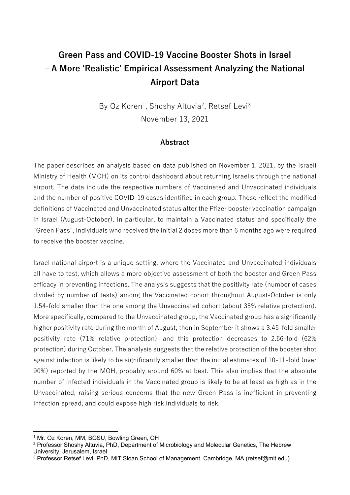# **Green Pass and COVID-19 Vaccine Booster Shots in Israel – A More 'Realistic' Empirical Assessment Analyzing the National Airport Data**

By Oz Koren<sup>[1](#page-0-0)</sup>, Shoshy Altuvia<sup>[2](#page-0-1)</sup>, Retsef Levi<sup>[3](#page-0-2)</sup> November 13, 2021

#### **Abstract**

The paper describes an analysis based on data published on November 1, 2021, by the Israeli Ministry of Health (MOH) on its control dashboard about returning Israelis through the national airport. The data include the respective numbers of Vaccinated and Unvaccinated individuals and the number of positive COVID-19 cases identified in each group. These reflect the modified definitions of Vaccinated and Unvaccinated status after the Pfizer booster vaccination campaign in Israel (August-October). In particular, to maintain a Vaccinated status and specifically the "Green Pass", individuals who received the initial 2 doses more than 6 months ago were required to receive the booster vaccine.

Israel national airport is a unique setting, where the Vaccinated and Unvaccinated individuals all have to test, which allows a more objective assessment of both the booster and Green Pass efficacy in preventing infections. The analysis suggests that the positivity rate (number of cases divided by number of tests) among the Vaccinated cohort throughout August-October is only 1.54-fold smaller than the one among the Unvaccinated cohort (about 35% relative protection). More specifically, compared to the Unvaccinated group, the Vaccinated group has a significantly higher positivity rate during the month of August, then in September it shows a 3.45-fold smaller positivity rate (71% relative protection), and this protection decreases to 2.66-fold (62% protection) during October. The analysis suggests that the relative protection of the booster shot against infection is likely to be significantly smaller than the initial estimates of 10-11-fold (over 90%) reported by the MOH, probably around 60% at best. This also implies that the absolute number of infected individuals in the Vaccinated group is likely to be at least as high as in the Unvaccinated, raising serious concerns that the new Green Pass is inefficient in preventing infection spread, and could expose high risk individuals to risk.

<u>.</u>

<span id="page-0-0"></span><sup>&</sup>lt;sup>1</sup> Mr. Oz Koren, MM, BGSU, Bowling Green, OH

<span id="page-0-1"></span><sup>2</sup> Professor Shoshy Altuvia, PhD, Department of Microbiology and Molecular Genetics, The Hebrew University, Jerusalem, Israel

<span id="page-0-2"></span><sup>3</sup> Professor Retsef Levi, PhD, MIT Sloan School of Management, Cambridge, MA (retsef@mit.edu)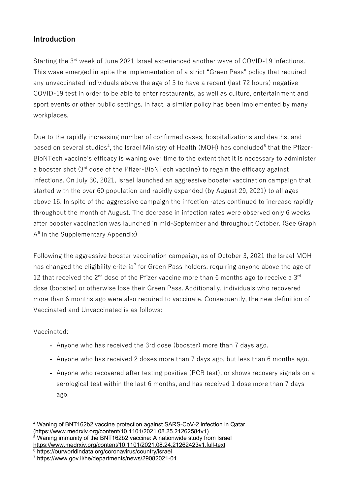## **Introduction**

Starting the 3<sup>rd</sup> week of June 2021 Israel experienced another wave of COVID-19 infections. This wave emerged in spite the implementation of a strict "Green Pass" policy that required any unvaccinated individuals above the age of 3 to have a recent (last 72 hours) negative COVID-19 test in order to be able to enter restaurants, as well as culture, entertainment and sport events or other public settings. In fact, a similar policy has been implemented by many workplaces.

Due to the rapidly increasing number of confirmed cases, hospitalizations and deaths, and based on several studies<sup>[4](#page-1-0)</sup>, the Israel Ministry of Health (MOH) has concluded<sup>[5](#page-1-1)</sup> that the Pfizer-BioNTech vaccine's efficacy is waning over time to the extent that it is necessary to administer a booster shot (3<sup>rd</sup> dose of the Pfizer-BioNTech vaccine) to regain the efficacy against infections. On July 30, 2021, Israel launched an aggressive booster vaccination campaign that started with the over 60 population and rapidly expanded (by August 29, 2021) to all ages above 16. In spite of the aggressive campaign the infection rates continued to increase rapidly throughout the month of August. The decrease in infection rates were observed only 6 weeks after booster vaccination was launched in mid-September and throughout October. (See Graph  $A<sup>6</sup>$  $A<sup>6</sup>$  $A<sup>6</sup>$  in the Supplementary Appendix)

Following the aggressive booster vaccination campaign, as of October 3, 2021 the Israel MOH has changed the eligibility criteria<sup>[7](#page-1-3)</sup> for Green Pass holders, requiring anyone above the age of 12 that received the  $2^{nd}$  dose of the Pfizer vaccine more than 6 months ago to receive a  $3^{rd}$ dose (booster) or otherwise lose their Green Pass. Additionally, individuals who recovered more than 6 months ago were also required to vaccinate. Consequently, the new definition of Vaccinated and Unvaccinated is as follows:

## Vaccinated:

- **-** Anyone who has received the 3rd dose (booster) more than 7 days ago.
- **-** Anyone who has received 2 doses more than 7 days ago, but less than 6 months ago.
- **-** Anyone who recovered after testing positive (PCR test), or shows recovery signals on a serological test within the last 6 months, and has received 1 dose more than 7 days ago.

<span id="page-1-0"></span><sup>-</sup><sup>4</sup> Waning of BNT162b2 vaccine protection against SARS-CoV-2 infection in Qatar (https://www.medrxiv.org/content/10.1101/2021.08.25.21262584v1)

<span id="page-1-1"></span> $5$  Waning immunity of the BNT162b2 vaccine: A nationwide study from Israel <https://www.medrxiv.org/content/10.1101/2021.08.24.21262423v1.full-text>

<span id="page-1-2"></span><sup>6</sup> https://ourworldindata.org/coronavirus/country/israel

<span id="page-1-3"></span><sup>7</sup> https://www.gov.il/he/departments/news/29082021-01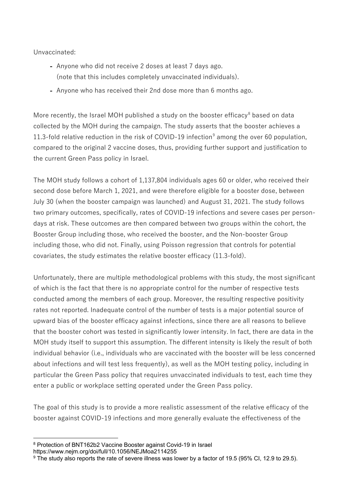Unvaccinated:

- **-** Anyone who did not receive 2 doses at least 7 days ago. (note that this includes completely unvaccinated individuals).
- **-** Anyone who has received their 2nd dose more than 6 months ago.

More recently, the Israel MOH published a study on the booster efficacy<sup>[8](#page-2-0)</sup> based on data collected by the MOH during the campaign. The study asserts that the booster achieves a 11.3-fold relative reduction in the risk of COVID-1[9](#page-2-1) infection<sup>9</sup> among the over 60 population, compared to the original 2 vaccine doses, thus, providing further support and justification to the current Green Pass policy in Israel.

The MOH study follows a cohort of 1,137,804 individuals ages 60 or older, who received their second dose before March 1, 2021, and were therefore eligible for a booster dose, between July 30 (when the booster campaign was launched) and August 31, 2021. The study follows two primary outcomes, specifically, rates of COVID-19 infections and severe cases per persondays at risk. These outcomes are then compared between two groups within the cohort, the Booster Group including those, who received the booster, and the Non-booster Group including those, who did not. Finally, using Poisson regression that controls for potential covariates, the study estimates the relative booster efficacy (11.3-fold).

Unfortunately, there are multiple methodological problems with this study, the most significant of which is the fact that there is no appropriate control for the number of respective tests conducted among the members of each group. Moreover, the resulting respective positivity rates not reported. Inadequate control of the number of tests is a major potential source of upward bias of the booster efficacy against infections, since there are all reasons to believe that the booster cohort was tested in significantly lower intensity. In fact, there are data in the MOH study itself to support this assumption. The different intensity is likely the result of both individual behavior (i.e., individuals who are vaccinated with the booster will be less concerned about infections and will test less frequently), as well as the MOH testing policy, including in particular the Green Pass policy that requires unvaccinated individuals to test, each time they enter a public or workplace setting operated under the Green Pass policy.

The goal of this study is to provide a more realistic assessment of the relative efficacy of the booster against COVID-19 infections and more generally evaluate the effectiveness of the

<sup>-</sup><sup>8</sup> Protection of BNT162b2 Vaccine Booster against Covid-19 in Israel

<span id="page-2-0"></span>https://www.nejm.org/doi/full/10.1056/NEJMoa2114255

<span id="page-2-1"></span><sup>&</sup>lt;sup>9</sup> The study also reports the rate of severe illness was lower by a factor of 19.5 (95% CI, 12.9 to 29.5).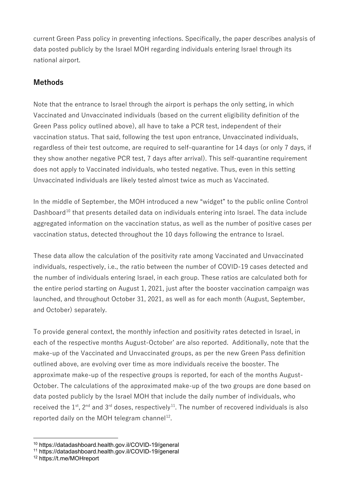current Green Pass policy in preventing infections. Specifically, the paper describes analysis of data posted publicly by the Israel MOH regarding individuals entering Israel through its national airport.

# **Methods**

Note that the entrance to Israel through the airport is perhaps the only setting, in which Vaccinated and Unvaccinated individuals (based on the current eligibility definition of the Green Pass policy outlined above), all have to take a PCR test, independent of their vaccination status. That said, following the test upon entrance, Unvaccinated individuals, regardless of their test outcome, are required to self-quarantine for 14 days (or only 7 days, if they show another negative PCR test, 7 days after arrival). This self-quarantine requirement does not apply to Vaccinated individuals, who tested negative. Thus, even in this setting Unvaccinated individuals are likely tested almost twice as much as Vaccinated.

In the middle of September, the MOH introduced a new "widget" to the public online Control Dashboard<sup>[10](#page-3-0)</sup> that presents detailed data on individuals entering into Israel. The data include aggregated information on the vaccination status, as well as the number of positive cases per vaccination status, detected throughout the 10 days following the entrance to Israel.

These data allow the calculation of the positivity rate among Vaccinated and Unvaccinated individuals, respectively, i.e., the ratio between the number of COVID-19 cases detected and the number of individuals entering Israel, in each group. These ratios are calculated both for the entire period starting on August 1, 2021, just after the booster vaccination campaign was launched, and throughout October 31, 2021, as well as for each month (August, September, and October) separately.

To provide general context, the monthly infection and positivity rates detected in Israel, in each of the respective months August-October' are also reported. Additionally, note that the make-up of the Vaccinated and Unvaccinated groups, as per the new Green Pass definition outlined above, are evolving over time as more individuals receive the booster. The approximate make-up of the respective groups is reported, for each of the months August-October. The calculations of the approximated make-up of the two groups are done based on data posted publicly by the Israel MOH that include the daily number of individuals, who received the  $1<sup>st</sup>$ ,  $2<sup>nd</sup>$  and  $3<sup>rd</sup>$  doses, respectively<sup>[11](#page-3-1)</sup>. The number of recovered individuals is also reported daily on the MOH telegram channel<sup>12</sup>.

<span id="page-3-0"></span><sup>-</sup><sup>10</sup> https://datadashboard.health.gov.il/COVID-19/general

<span id="page-3-1"></span><sup>11</sup> https://datadashboard.health.gov.il/COVID-19/general

<span id="page-3-2"></span><sup>12</sup> https://t.me/MOHreport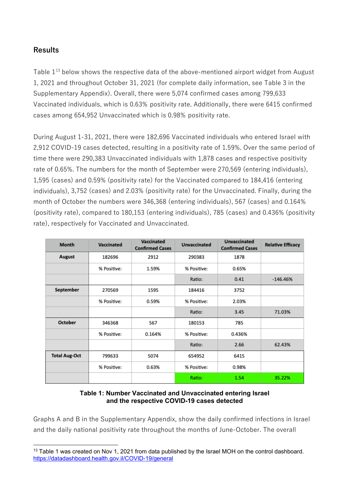## **Results**

Table 1<sup>[13](#page-4-0)</sup> below shows the respective data of the above-mentioned airport widget from August 1, 2021 and throughout October 31, 2021 (for complete daily information, see Table 3 in the Supplementary Appendix). Overall, there were 5,074 confirmed cases among 799,633 Vaccinated individuals, which is 0.63% positivity rate. Additionally, there were 6415 confirmed cases among 654,952 Unvaccinated which is 0.98% positivity rate.

During August 1-31, 2021, there were 182,696 Vaccinated individuals who entered Israel with 2,912 COVID-19 cases detected, resulting in a positivity rate of 1.59%. Over the same period of time there were 290,383 Unvaccinated individuals with 1,878 cases and respective positivity rate of 0.65%. The numbers for the month of September were 270,569 (entering individuals), 1,595 (cases) and 0.59% (positivity rate) for the Vaccinated compared to 184,416 (entering individuals), 3,752 (cases) and 2.03% (positivity rate) for the Unvaccinated. Finally, during the month of October the numbers were 346,368 (entering individuals), 567 (cases) and 0.164% (positivity rate), compared to 180,153 (entering individuals), 785 (cases) and 0.436% (positivity rate), respectively for Vaccinated and Unvaccinated.

| Month                | Vaccinated  | Vaccinated<br><b>Confirmed Cases</b> | <b>Unvaccinated</b> | <b>Unvaccinated</b><br><b>Confirmed Cases</b> | <b>Relative Efficacy</b> |
|----------------------|-------------|--------------------------------------|---------------------|-----------------------------------------------|--------------------------|
| August               | 182696      | 2912                                 | 290383              | 1878                                          |                          |
|                      | % Positive: | 1.59%                                | % Positive:         | 0.65%                                         |                          |
|                      |             |                                      | Ratio:              | 0.41                                          | $-146.46%$               |
| September            | 270569      | 1595                                 | 184416              | 3752                                          |                          |
|                      | % Positive: | 0.59%                                | % Positive:         | 2.03%                                         |                          |
|                      |             |                                      | Ratio:              | 3.45                                          | 71.03%                   |
| October              | 346368      | 567                                  | 180153              | 785                                           |                          |
|                      | % Positive: | 0.164%                               | % Positive:         | 0.436%                                        |                          |
|                      |             |                                      | Ratio:              | 2.66                                          | 62.43%                   |
| <b>Total Aug-Oct</b> | 799633      | 5074                                 | 654952              | 6415                                          |                          |
|                      | % Positive: | 0.63%                                | % Positive:         | 0.98%                                         |                          |
|                      |             |                                      | Ratio:              | 1.54                                          | 35.22%                   |

#### **Table 1: Number Vaccinated and Unvaccinated entering Israel and the respective COVID-19 cases detected**

Graphs A and B in the Supplementary Appendix, show the daily confirmed infections in Israel and the daily national positivity rate throughout the months of June-October. The overall

<span id="page-4-0"></span><sup>&</sup>lt;u>.</u> <sup>13</sup> Table 1 was created on Nov 1, 2021 from data published by the Israel MOH on the control dashboard. <https://datadashboard.health.gov.il/COVID-19/general>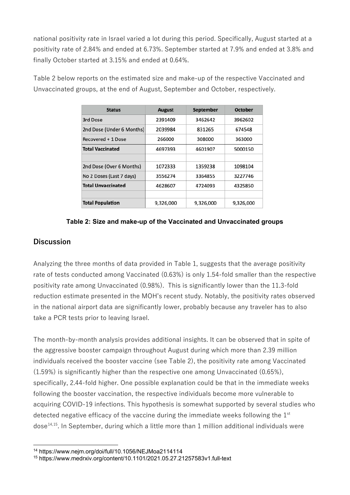national positivity rate in Israel varied a lot during this period. Specifically, August started at a positivity rate of 2.84% and ended at 6.73%. September started at 7.9% and ended at 3.8% and finally October started at 3.15% and ended at 0.64%.

| <b>Status</b>             | <b>August</b> | September | October   |
|---------------------------|---------------|-----------|-----------|
| 3rd Dose                  | 2391409       | 3462642   | 3962602   |
| 2nd Dose (Under 6 Months) | 2039984       | 831265    | 674548    |
| Recovered + 1 Dose        | 266000        | 308000    | 363000    |
| <b>Total Vaccinated</b>   | 4697393       | 4601907   | 5000150   |
|                           |               |           |           |
| 2nd Dose (Over 6 Months)  | 1072333       | 1359238   | 1098104   |
| No 2 Doses (Last 7 days)  | 3556274       | 3364855   | 3227746   |
| <b>Total Unvaccinated</b> | 4628607       | 4724093   | 4325850   |
|                           |               |           |           |
| <b>Total Population</b>   | 9,326,000     | 9,326,000 | 9,326,000 |

Table 2 below reports on the estimated size and make-up of the respective Vaccinated and Unvaccinated groups, at the end of August, September and October, respectively.

#### **Table 2: Size and make-up of the Vaccinated and Unvaccinated groups**

### **Discussion**

Analyzing the three months of data provided in Table 1, suggests that the average positivity rate of tests conducted among Vaccinated (0.63%) is only 1.54-fold smaller than the respective positivity rate among Unvaccinated (0.98%). This is significantly lower than the 11.3-fold reduction estimate presented in the MOH's recent study. Notably, the positivity rates observed in the national airport data are significantly lower, probably because any traveler has to also take a PCR tests prior to leaving Israel.

The month-by-month analysis provides additional insights. It can be observed that in spite of the aggressive booster campaign throughout August during which more than 2.39 million individuals received the booster vaccine (see Table 2), the positivity rate among Vaccinated (1.59%) is significantly higher than the respective one among Unvaccinated (0.65%), specifically, 2.44-fold higher. One possible explanation could be that in the immediate weeks following the booster vaccination, the respective individuals become more vulnerable to acquiring COVID-19 infections. This hypothesis is somewhat supported by several studies who detected negative efficacy of the vaccine during the immediate weeks following the 1<sup>st</sup> dose $^{14,15}$  $^{14,15}$  $^{14,15}$  $^{14,15}$ . In September, during which a little more than 1 million additional individuals were

<sup>&</sup>lt;u>.</u> <sup>14</sup> https://www.nejm.org/doi/full/10.1056/NEJMoa2114114

<span id="page-5-1"></span><span id="page-5-0"></span><sup>15</sup> https://www.medrxiv.org/content/10.1101/2021.05.27.21257583v1.full-text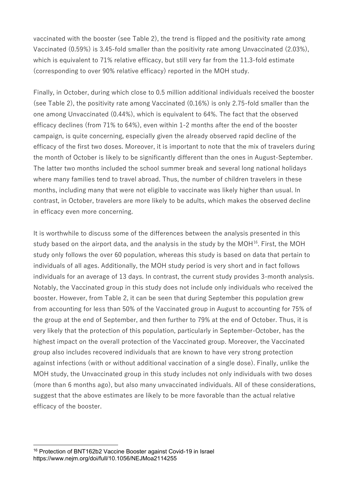vaccinated with the booster (see Table 2), the trend is flipped and the positivity rate among Vaccinated (0.59%) is 3.45-fold smaller than the positivity rate among Unvaccinated (2.03%), which is equivalent to 71% relative efficacy, but still very far from the 11.3-fold estimate (corresponding to over 90% relative efficacy) reported in the MOH study.

Finally, in October, during which close to 0.5 million additional individuals received the booster (see Table 2), the positivity rate among Vaccinated (0.16%) is only 2.75-fold smaller than the one among Unvaccinated (0.44%), which is equivalent to 64%. The fact that the observed efficacy declines (from 71% to 64%), even within 1-2 months after the end of the booster campaign, is quite concerning, especially given the already observed rapid decline of the efficacy of the first two doses. Moreover, it is important to note that the mix of travelers during the month of October is likely to be significantly different than the ones in August-September. The latter two months included the school summer break and several long national holidays where many families tend to travel abroad. Thus, the number of children travelers in these months, including many that were not eligible to vaccinate was likely higher than usual. In contrast, in October, travelers are more likely to be adults, which makes the observed decline in efficacy even more concerning.

It is worthwhile to discuss some of the differences between the analysis presented in this study based on the airport data, and the analysis in the study by the MOH<sup>[16](#page-6-0)</sup>. First, the MOH study only follows the over 60 population, whereas this study is based on data that pertain to individuals of all ages. Additionally, the MOH study period is very short and in fact follows individuals for an average of 13 days. In contrast, the current study provides 3-month analysis. Notably, the Vaccinated group in this study does not include only individuals who received the booster. However, from Table 2, it can be seen that during September this population grew from accounting for less than 50% of the Vaccinated group in August to accounting for 75% of the group at the end of September, and then further to 79% at the end of October. Thus, it is very likely that the protection of this population, particularly in September-October, has the highest impact on the overall protection of the Vaccinated group. Moreover, the Vaccinated group also includes recovered individuals that are known to have very strong protection against infections (with or without additional vaccination of a single dose). Finally, unlike the MOH study, the Unvaccinated group in this study includes not only individuals with two doses (more than 6 months ago), but also many unvaccinated individuals. All of these considerations, suggest that the above estimates are likely to be more favorable than the actual relative efficacy of the booster.

<u>.</u>

<span id="page-6-0"></span><sup>16</sup> Protection of BNT162b2 Vaccine Booster against Covid-19 in Israel https://www.nejm.org/doi/full/10.1056/NEJMoa2114255